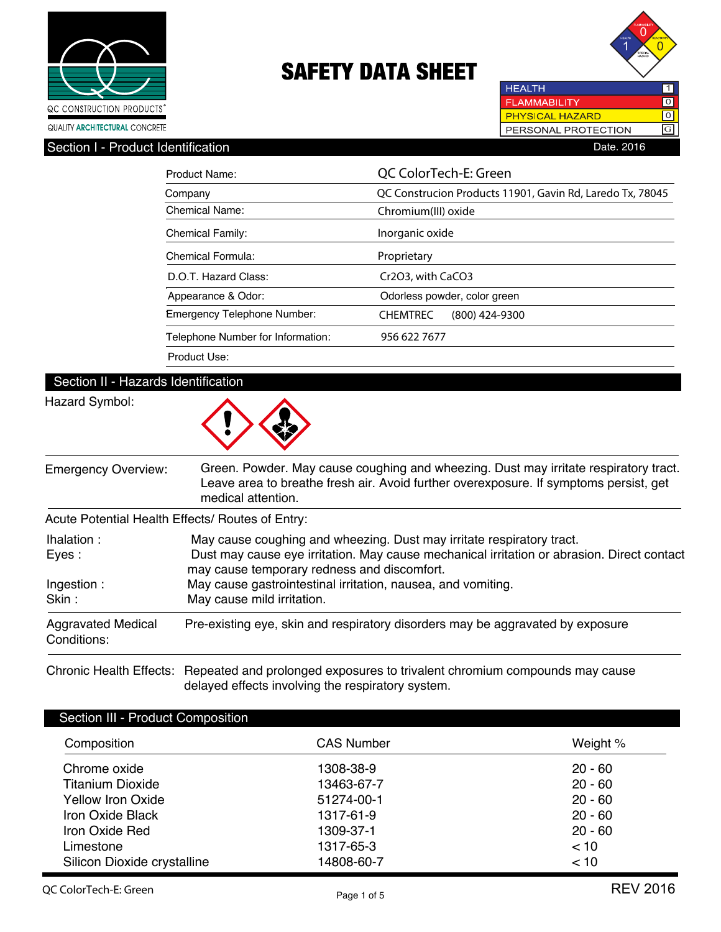



**HEALTH**  $\overline{1}$ **FLAMMABILITY**  $\boxed{0}$ PHYSICAL HAZARD लि PERSONAL PROTECTION G

| Section I - Product Identification | Date, 2016 |  |
|------------------------------------|------------|--|
|                                    |            |  |

| Product Name:                     | QC ColorTech-E: Green                                     |  |  |  |
|-----------------------------------|-----------------------------------------------------------|--|--|--|
| Company                           | QC Construcion Products 11901, Gavin Rd, Laredo Tx, 78045 |  |  |  |
| <b>Chemical Name:</b>             | Chromium(III) oxide                                       |  |  |  |
| <b>Chemical Family:</b>           | Inorganic oxide                                           |  |  |  |
| Chemical Formula:                 | Proprietary                                               |  |  |  |
| D.O.T. Hazard Class:              | Cr2O3, with CaCO3                                         |  |  |  |
| Appearance & Odor:                | Odorless powder, color green                              |  |  |  |
| Emergency Telephone Number:       | <b>CHEMTREC</b><br>$(800)$ 424-9300                       |  |  |  |
| Telephone Number for Information: | 956 622 7677                                              |  |  |  |
| Product Use:                      |                                                           |  |  |  |

### Section II - Hazards Identification

### Hazard Symbol:



| <b>Emergency Overview:</b>                                                          | Green. Powder. May cause coughing and wheezing. Dust may irritate respiratory tract.<br>Leave area to breathe fresh air. Avoid further overexposure. If symptoms persist, get<br>medical attention. |  |  |  |
|-------------------------------------------------------------------------------------|-----------------------------------------------------------------------------------------------------------------------------------------------------------------------------------------------------|--|--|--|
|                                                                                     | Acute Potential Health Effects/ Routes of Entry:                                                                                                                                                    |  |  |  |
| May cause coughing and wheezing. Dust may irritate respiratory tract.<br>lhalation: |                                                                                                                                                                                                     |  |  |  |
| Eyes:                                                                               | Dust may cause eye irritation. May cause mechanical irritation or abrasion. Direct contact<br>may cause temporary redness and discomfort.                                                           |  |  |  |
| Ingestion:                                                                          | May cause gastrointestinal irritation, nausea, and vomiting.                                                                                                                                        |  |  |  |
| Skin:                                                                               | May cause mild irritation.                                                                                                                                                                          |  |  |  |
| <b>Aggravated Medical</b><br>Conditions:                                            | Pre-existing eye, skin and respiratory disorders may be aggravated by exposure                                                                                                                      |  |  |  |

Chronic Health Effects: Repeated and prolonged exposures to trivalent chromium compounds may cause delayed effects involving the respiratory system.

| Section III - Product Composition |                   |           |  |  |
|-----------------------------------|-------------------|-----------|--|--|
| Composition                       | <b>CAS Number</b> | Weight %  |  |  |
| Chrome oxide                      | 1308-38-9         | $20 - 60$ |  |  |
| Titanium Dioxide                  | 13463-67-7        | $20 - 60$ |  |  |
| Yellow Iron Oxide                 | 51274-00-1        | $20 - 60$ |  |  |
| Iron Oxide Black                  | 1317-61-9         | $20 - 60$ |  |  |
| Iron Oxide Red                    | 1309-37-1         | $20 - 60$ |  |  |
| Limestone                         | 1317-65-3         | < 10      |  |  |
| Silicon Dioxide crystalline       | 14808-60-7        | < 10      |  |  |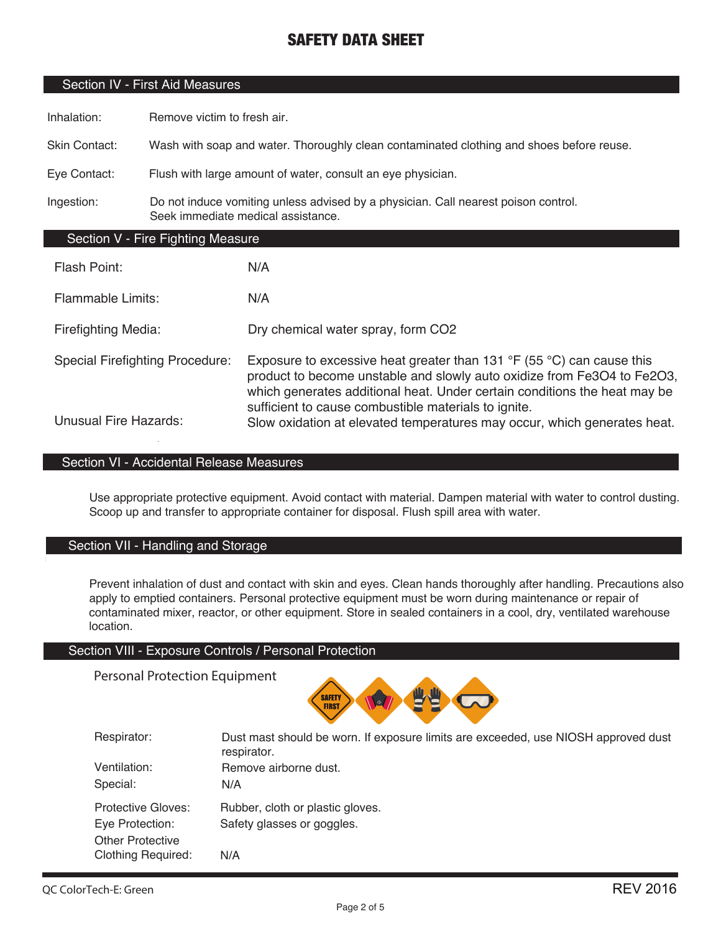### Section IV - First Aid Measures

Inhalation: Remove victim to fresh air.

Skin Contact: Wash with soap and water. Thoroughly clean contaminated clothing and shoes before reuse.

Eye Contact: Flush with large amount of water, consult an eye physician.

Ingestion: Do not induce vomiting unless advised by a physician. Call nearest poison control. Seek immediate medical assistance.

### Section V - Fire Fighting Measure

| Flash Point:                           | N/A                                                                                                                                                                                                                                                                                                     |
|----------------------------------------|---------------------------------------------------------------------------------------------------------------------------------------------------------------------------------------------------------------------------------------------------------------------------------------------------------|
| <b>Flammable Limits:</b>               | N/A                                                                                                                                                                                                                                                                                                     |
| <b>Firefighting Media:</b>             | Dry chemical water spray, form CO2                                                                                                                                                                                                                                                                      |
| <b>Special Firefighting Procedure:</b> | Exposure to excessive heat greater than 131 $\degree$ F (55 $\degree$ C) can cause this<br>product to become unstable and slowly auto oxidize from Fe3O4 to Fe2O3,<br>which generates additional heat. Under certain conditions the heat may be<br>sufficient to cause combustible materials to ignite. |
| <b>Unusual Fire Hazards:</b>           | Slow oxidation at elevated temperatures may occur, which generates heat.                                                                                                                                                                                                                                |

### Section VI - Accidental Release Measures

Use appropriate protective equipment. Avoid contact with material. Dampen material with water to control dusting. Scoop up and transfer to appropriate container for disposal. Flush spill area with water.

### Section VII - Handling and Storage

Prevent inhalation of dust and contact with skin and eyes. Clean hands thoroughly after handling. Precautions also apply to emptied containers. Personal protective equipment must be worn during maintenance or repair of contaminated mixer, reactor, or other equipment. Store in sealed containers in a cool, dry, ventilated warehouse location.

#### Section VIII - Exposure Controls / Personal Protection

Personal Protection Equipment



| Respirator:               | Dust mast should be worn. If exposure limits are exceeded, use NIOSH approved dust<br>respirator. |
|---------------------------|---------------------------------------------------------------------------------------------------|
| Ventilation:              | Remove airborne dust.                                                                             |
| Special:                  | N/A                                                                                               |
| Protective Gloves:        | Rubber, cloth or plastic gloves.                                                                  |
| Eye Protection:           | Safety glasses or goggles.                                                                        |
| <b>Other Protective</b>   |                                                                                                   |
| <b>Clothing Required:</b> | N/A                                                                                               |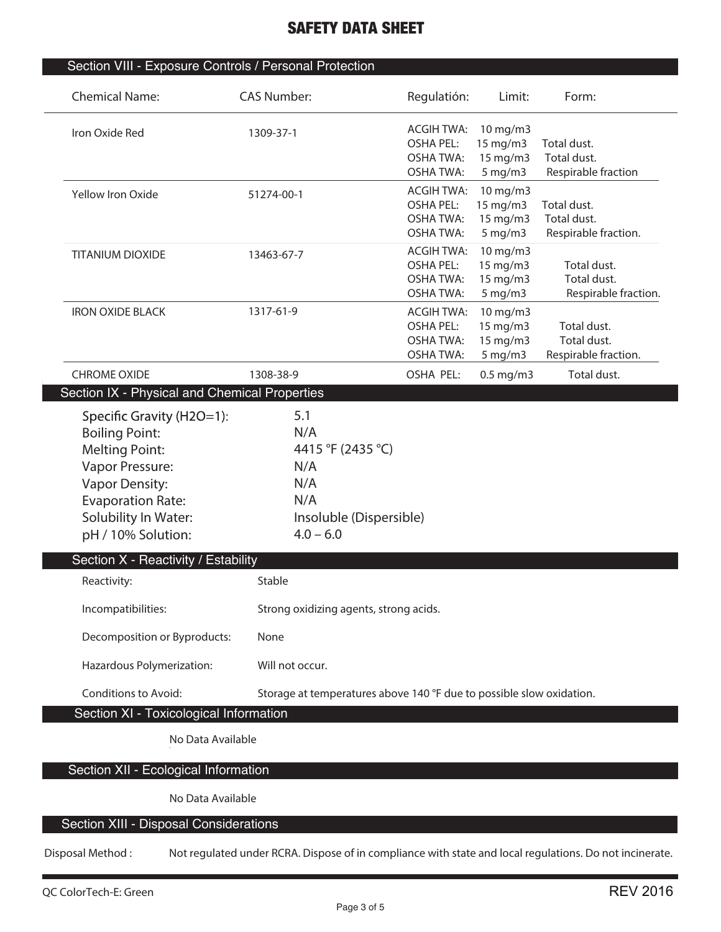| <b>Chemical Name:</b>                                                                                                                                                | <b>CAS Number:</b>                                                                                      | Regulatión:                                                                   | Limit:                                                | Form:                                              |
|----------------------------------------------------------------------------------------------------------------------------------------------------------------------|---------------------------------------------------------------------------------------------------------|-------------------------------------------------------------------------------|-------------------------------------------------------|----------------------------------------------------|
| Iron Oxide Red                                                                                                                                                       | 1309-37-1                                                                                               | <b>ACGIH TWA:</b><br><b>OSHA PEL:</b><br><b>OSHA TWA:</b><br><b>OSHA TWA:</b> | $10$ mg/m $3$<br>15 mg/m3<br>15 mg/m3<br>$5$ mg/m $3$ | Total dust.<br>Total dust.<br>Respirable fraction  |
| Yellow Iron Oxide                                                                                                                                                    | 51274-00-1                                                                                              | <b>ACGIH TWA:</b><br><b>OSHA PEL:</b><br><b>OSHA TWA:</b><br><b>OSHA TWA:</b> | 10 mg/m3<br>15 mg/m3<br>15 mg/m3<br>$5$ mg/m $3$      | Total dust.<br>Total dust.<br>Respirable fraction. |
| <b>TITANIUM DIOXIDE</b>                                                                                                                                              | 13463-67-7                                                                                              | <b>ACGIH TWA:</b><br><b>OSHA PEL:</b><br><b>OSHA TWA:</b><br><b>OSHA TWA:</b> | 10 mg/m3<br>15 mg/m3<br>15 mg/m3<br>$5$ mg/m $3$      | Total dust.<br>Total dust.<br>Respirable fraction. |
| <b>IRON OXIDE BLACK</b>                                                                                                                                              | 1317-61-9                                                                                               | <b>ACGIH TWA:</b><br><b>OSHA PEL:</b><br><b>OSHA TWA:</b><br><b>OSHA TWA:</b> | 10 mg/m3<br>15 mg/m3<br>15 mg/m3<br>5 mg/m3           | Total dust.<br>Total dust.<br>Respirable fraction. |
| <b>CHROME OXIDE</b><br>Section IX - Physical and Chemical Properties                                                                                                 | 1308-38-9                                                                                               | OSHA PEL:                                                                     | $0.5$ mg/m3                                           | Total dust.                                        |
| <b>Boiling Point:</b><br><b>Melting Point:</b><br>Vapor Pressure:<br><b>Vapor Density:</b><br><b>Evaporation Rate:</b><br>Solubility In Water:<br>pH / 10% Solution: | N/A<br>4415 °F (2435 °C)<br>N/A<br>N/A<br>N/A<br>Insoluble (Dispersible)<br>$4.0 - 6.0$                 |                                                                               |                                                       |                                                    |
| Section X - Reactivity / Estability<br>Reactivity:                                                                                                                   | Stable                                                                                                  |                                                                               |                                                       |                                                    |
| Incompatibilities:                                                                                                                                                   | Strong oxidizing agents, strong acids.                                                                  |                                                                               |                                                       |                                                    |
| Decomposition or Byproducts:                                                                                                                                         | None                                                                                                    |                                                                               |                                                       |                                                    |
| Hazardous Polymerization:                                                                                                                                            | Will not occur.                                                                                         |                                                                               |                                                       |                                                    |
| Conditions to Avoid:                                                                                                                                                 | Storage at temperatures above 140 °F due to possible slow oxidation.                                    |                                                                               |                                                       |                                                    |
| Section XI - Toxicological Information<br>No Data Available                                                                                                          |                                                                                                         |                                                                               |                                                       |                                                    |
|                                                                                                                                                                      |                                                                                                         |                                                                               |                                                       |                                                    |
| Section XII - Ecological Information                                                                                                                                 |                                                                                                         |                                                                               |                                                       |                                                    |
| No Data Available                                                                                                                                                    |                                                                                                         |                                                                               |                                                       |                                                    |
| Section XIII - Disposal Considerations                                                                                                                               |                                                                                                         |                                                                               |                                                       |                                                    |
| Disposal Method:                                                                                                                                                     | Not regulated under RCRA. Dispose of in compliance with state and local regulations. Do not incinerate. |                                                                               |                                                       |                                                    |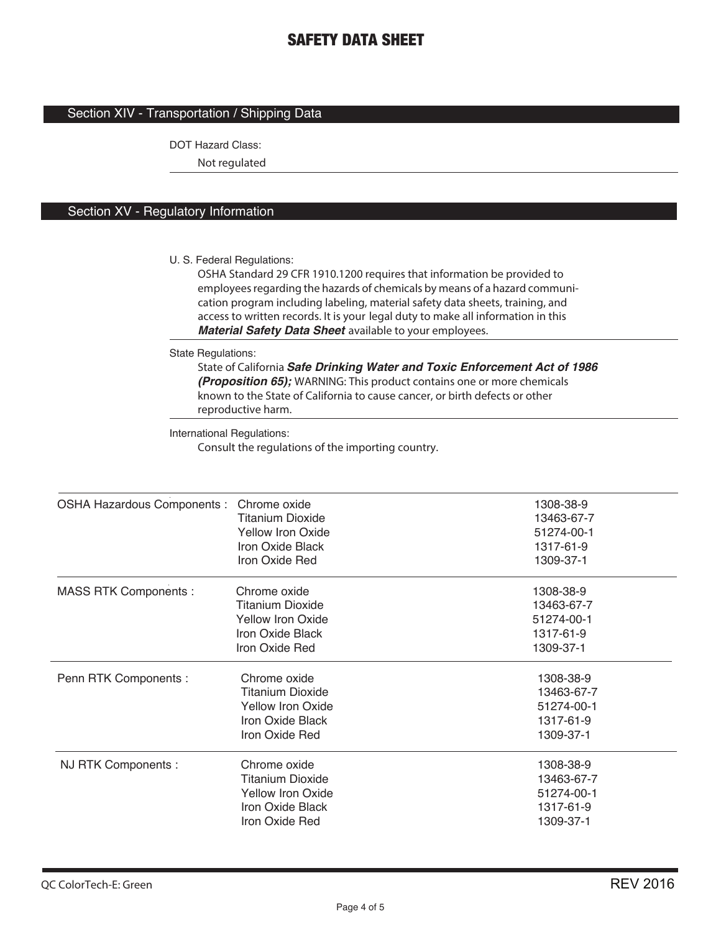### Section XIV - Transportation / Shipping Data

DOT Hazard Class:

**Not regulated**

### Section XV - Regulatory Information

U. S. Federal Regulations:

**OSHA Standard 29 CFR 1910.1200 requires that information be provided to employees regarding the hazards of chemicals by means of a hazard communication program including labeling, material safety data sheets, training, and access to written records. It is your legal duty to make all information in this**  *Material Safety Data Sheet* **available to your employees.**

State Regulations:

**State of California** *Safe Drinking Water and Toxic Enforcement Act of 1986 (Proposition 65);* **WARNING: This product contains one or more chemicals known to the State of California to cause cancer, or birth defects or other reproductive harm.**

International Regulations: **Consult the regulations of the importing country.**

| <b>OSHA Hazardous Components:</b> | Chrome oxide<br><b>Titanium Dioxide</b><br><b>Yellow Iron Oxide</b><br>Iron Oxide Black<br>Iron Oxide Red | 1308-38-9<br>13463-67-7<br>51274-00-1<br>1317-61-9<br>1309-37-1 |
|-----------------------------------|-----------------------------------------------------------------------------------------------------------|-----------------------------------------------------------------|
| <b>MASS RTK Components:</b>       | Chrome oxide<br><b>Titanium Dioxide</b><br>Yellow Iron Oxide<br>Iron Oxide Black<br>Iron Oxide Red        | 1308-38-9<br>13463-67-7<br>51274-00-1<br>1317-61-9<br>1309-37-1 |
| Penn RTK Components :             | Chrome oxide<br><b>Titanium Dioxide</b><br><b>Yellow Iron Oxide</b><br>Iron Oxide Black<br>Iron Oxide Red | 1308-38-9<br>13463-67-7<br>51274-00-1<br>1317-61-9<br>1309-37-1 |
| NJ RTK Components :               | Chrome oxide<br><b>Titanium Dioxide</b><br><b>Yellow Iron Oxide</b><br>Iron Oxide Black<br>Iron Oxide Red | 1308-38-9<br>13463-67-7<br>51274-00-1<br>1317-61-9<br>1309-37-1 |